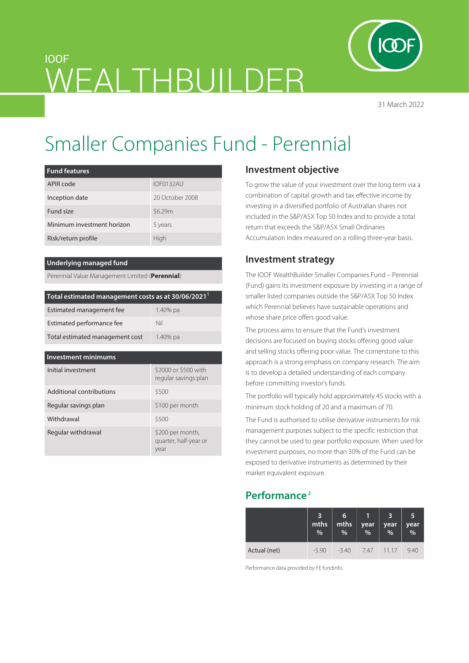

# Smaller Companies Fund - Perennial

WFAI THBUILDFR

| <b>Fund features</b>       |                 |
|----------------------------|-----------------|
| APIR code                  | IOF0132AU       |
| Inception date             | 20 October 2008 |
| Fund size                  | \$6.29m         |
| Minimum investment horizon | 5 years         |
| Risk/return profile        | High            |

#### **Underlying managed fund**

IOOF

Perennial Value Management Limited (**Perennial**)

| Total estimated management costs as at 30/06/2021 <sup>1</sup> |          |  |  |  |
|----------------------------------------------------------------|----------|--|--|--|
| Estimated management fee                                       | 1.40% pa |  |  |  |
| Estimated performance fee                                      | Nil      |  |  |  |
| Total estimated management cost                                | 1.40% pa |  |  |  |

| Investment minimums      |                                                   |  |  |
|--------------------------|---------------------------------------------------|--|--|
| Initial investment       | \$2000 or \$500 with<br>regular savings plan      |  |  |
| Additional contributions | \$500                                             |  |  |
| Regular savings plan     | \$100 per month                                   |  |  |
| Withdrawal               | \$500                                             |  |  |
| Regular withdrawal       | \$200 per month,<br>quarter, half-year or<br>year |  |  |

# **Investment objective**

To grow the value of your investment over the long term via a combination of capital growth and tax effective income by investing in a diversified portfolio of Australian shares not included in the S&P/ASX Top 50 Index and to provide a total return that exceeds the S&P/ASX Small Ordinaries Accumulation Index measured on a rolling three-year basis.

## **Investment strategy**

The IOOF WealthBuilder Smaller Companies Fund – Perennial (Fund) gains its investment exposure by investing in a range of smaller listed companies outside the S&P/ASX Top 50 Index which Perennial believes have sustainable operations and whose share price offers good value.

The process aims to ensure that the Fund's investment decisions are focused on buying stocks offering good value and selling stocks offering poor value. The cornerstone to this approach is a strong emphasis on company research. The aim is to develop a detailed understanding of each company before committing investor's funds.

The portfolio will typically hold approximately 45 stocks with a minimum stock holding of 20 and a maximum of 70.

The Fund is authorised to utilise derivative instruments for risk management purposes subject to the specific restriction that they cannot be used to gear portfolio exposure. When used for investment purposes, no more than 30% of the Fund can be exposed to derivative instruments as determined by their market equivalent exposure.

# **Performance 2**

|              | $\overline{\mathbf{3}}$<br>mths<br>$\overline{\frac{9}{6}}$ | 6<br>mths<br>% | year<br>$\overline{\mathcal{A}}$ | 3<br>year<br>% | 15<br>year<br>% |
|--------------|-------------------------------------------------------------|----------------|----------------------------------|----------------|-----------------|
| Actual (net) | $-5.90$                                                     | $-3.40$        |                                  | 7.47 11.17     | 9.40            |

Performance data provided by FE fundinfo.